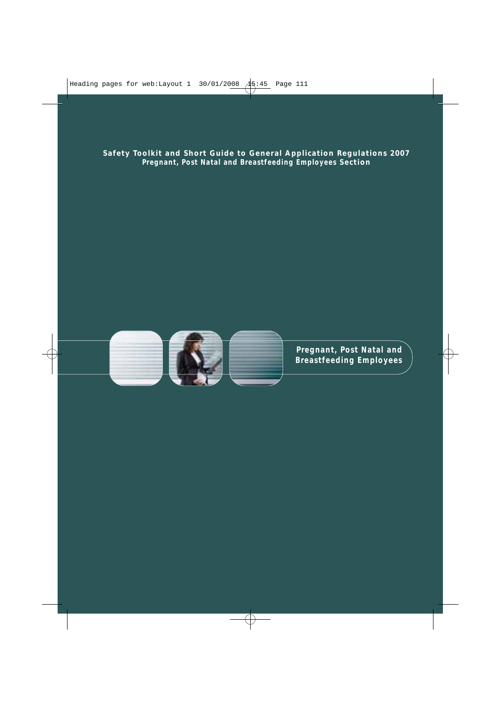**Safety Toolkit and Short Guide to General Application Regulations 2007 Pregnant, Post Natal and Breastfeeding Employees Section**

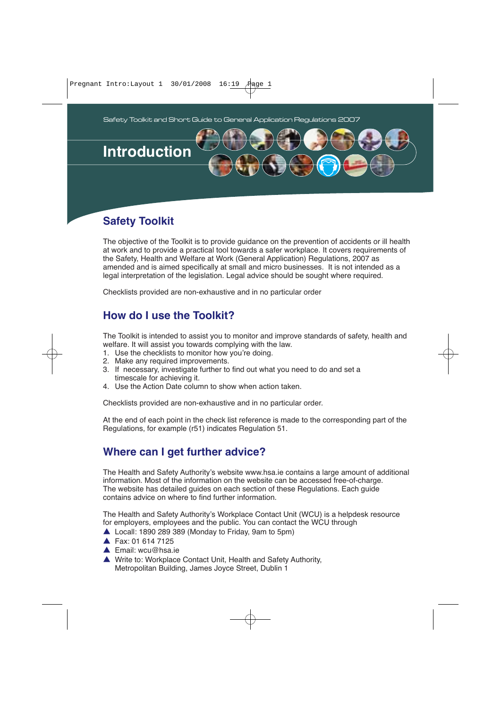Safety Toolkit and Short Guide to General Application Regulations 2007



# **Safety Toolkit**

The objective of the Toolkit is to provide guidance on the prevention of accidents or ill health at work and to provide a practical tool towards a safer workplace. It covers requirements of the Safety, Health and Welfare at Work (General Application) Regulations, 2007 as amended and is aimed specifically at small and micro businesses. It is not intended as a legal interpretation of the legislation. Legal advice should be sought where required.

Checklists provided are non-exhaustive and in no particular order

## **How do I use the Toolkit?**

The Toolkit is intended to assist you to monitor and improve standards of safety, health and welfare. It will assist you towards complying with the law.

- 1. Use the checklists to monitor how you're doing.
- 2. Make any required improvements.
- 3. If necessary, investigate further to find out what you need to do and set a timescale for achieving it.
- 4. Use the Action Date column to show when action taken.

Checklists provided are non-exhaustive and in no particular order.

At the end of each point in the check list reference is made to the corresponding part of the Regulations, for example (r51) indicates Regulation 51.

### **Where can I get further advice?**

The Health and Safety Authority's website www.hsa.ie contains a large amount of additional information. Most of the information on the website can be accessed free-of-charge. The website has detailed guides on each section of these Regulations. Each guide contains advice on where to find further information.

The Health and Safety Authority's Workplace Contact Unit (WCU) is a helpdesk resource for employers, employees and the public. You can contact the WCU through

- ▲ Locall: 1890 289 389 (Monday to Friday, 9am to 5pm)
- ▲ Fax: 01 614 7125
- ▲ Email: wcu@hsa.ie
- ▲ Write to: Workplace Contact Unit, Health and Safety Authority, Metropolitan Building, James Joyce Street, Dublin 1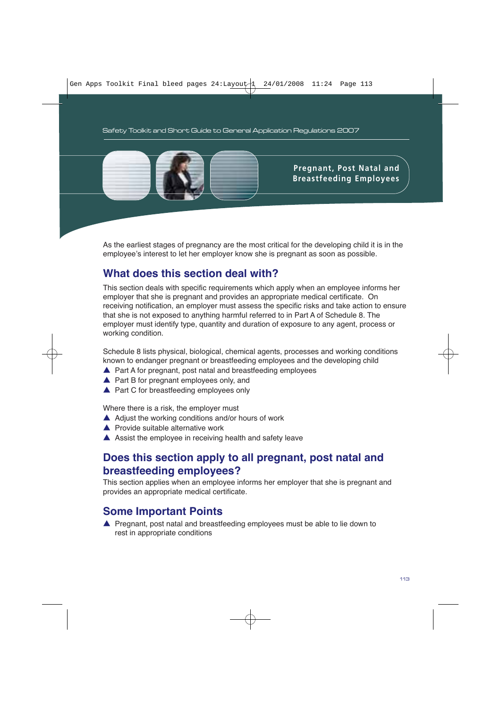

**Pregnant, Post Natal and Breastfeeding Employees**

As the earliest stages of pregnancy are the most critical for the developing child it is in the employee's interest to let her employer know she is pregnant as soon as possible.

### **What does this section deal with?**

This section deals with specific requirements which apply when an employee informs her employer that she is pregnant and provides an appropriate medical certificate. On receiving notification, an employer must assess the specific risks and take action to ensure that she is not exposed to anything harmful referred to in Part A of Schedule 8. The employer must identify type, quantity and duration of exposure to any agent, process or working condition.

Schedule 8 lists physical, biological, chemical agents, processes and working conditions known to endanger pregnant or breastfeeding employees and the developing child

- ▲ Part A for pregnant, post natal and breastfeeding employees
- ▲ Part B for pregnant employees only, and
- ▲ Part C for breastfeeding employees only

Where there is a risk, the employer must

- $\triangle$  Adjust the working conditions and/or hours of work
- $\triangle$  Provide suitable alternative work
- $\triangle$  Assist the employee in receiving health and safety leave

### **Does this section apply to all pregnant, post natal and breastfeeding employees?**

This section applies when an employee informs her employer that she is pregnant and provides an appropriate medical certificate.

#### **Some Important Points**

▲ Pregnant, post natal and breastfeeding employees must be able to lie down to rest in appropriate conditions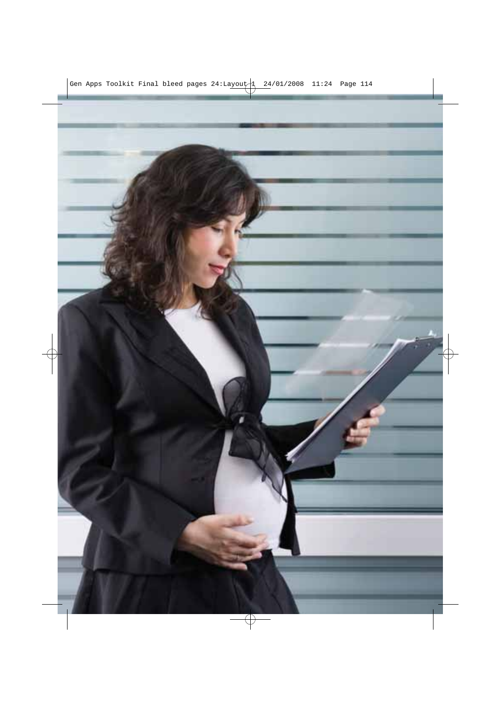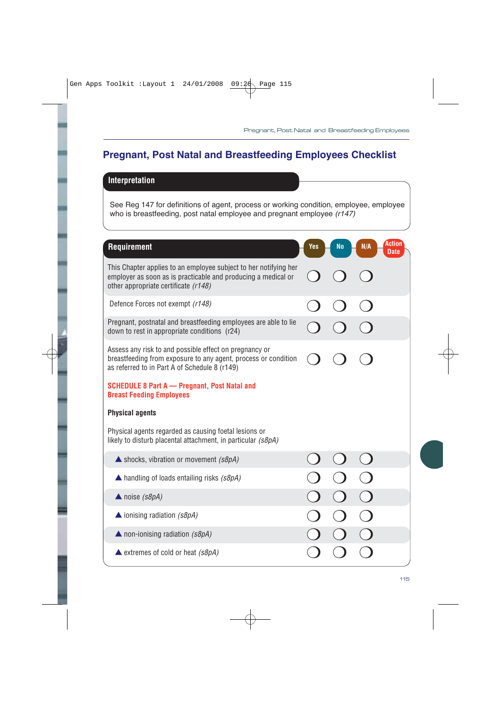#### **Pregnant, Post Natal and Breastfeeding Employees Checklist**

#### **Interpretation**

See Reg 147 for definitions of agent, process or working condition, employee, employee who is breastfeeding, post natal employee and pregnant employee (r147)

| <b>Requirement</b>                                                                                                                                                        | Yes | N <sub>0</sub> | <b>Action</b><br>N/A<br>Date |
|---------------------------------------------------------------------------------------------------------------------------------------------------------------------------|-----|----------------|------------------------------|
| This Chapter applies to an employee subject to her notifying her<br>employer as soon as is practicable and producing a medical or<br>other appropriate certificate (r148) |     |                |                              |
| Defence Forces not exempt (r148)                                                                                                                                          |     |                |                              |
| Pregnant, postnatal and breastfeeding employees are able to lie<br>down to rest in appropriate conditions (r24)                                                           |     |                |                              |
| Assess any risk to and possible effect on pregnancy or<br>breastfeeding from exposure to any agent, process or condition<br>as referred to in Part A of Schedule 8 (r149) |     |                |                              |
| <b>SCHEDULE 8 Part A - Pregnant, Post Natal and</b><br><b>Breast Feeding Employees</b>                                                                                    |     |                |                              |
| <b>Physical agents</b>                                                                                                                                                    |     |                |                              |
| Physical agents regarded as causing foetal lesions or<br>likely to disturb placental attachment, in particular (s8pA)                                                     |     |                |                              |
| $\triangle$ shocks, vibration or movement (s8pA)                                                                                                                          |     |                |                              |
| A handling of loads entailing risks $(s8pA)$                                                                                                                              |     |                |                              |
| $\triangle$ noise (s8pA)                                                                                                                                                  |     |                |                              |
| $\triangle$ ionising radiation (s8pA)                                                                                                                                     |     |                |                              |
| $\triangle$ non-ionising radiation (s8pA)                                                                                                                                 |     |                |                              |
|                                                                                                                                                                           |     |                |                              |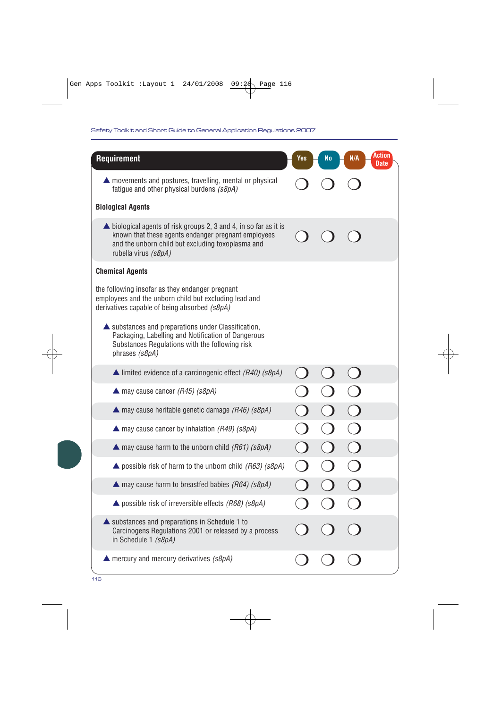| <b>Requirement</b>                                                                                                                                                                                  | Yes | No | N/A                                    | <b>Action</b><br>Date |
|-----------------------------------------------------------------------------------------------------------------------------------------------------------------------------------------------------|-----|----|----------------------------------------|-----------------------|
| ▲ movements and postures, travelling, mental or physical<br>fatigue and other physical burdens (s8pA)                                                                                               |     |    |                                        |                       |
| <b>Biological Agents</b>                                                                                                                                                                            |     |    |                                        |                       |
| biological agents of risk groups 2, 3 and 4, in so far as it is<br>known that these agents endanger pregnant employees<br>and the unborn child but excluding toxoplasma and<br>rubella virus (s8pA) |     |    |                                        |                       |
| <b>Chemical Agents</b>                                                                                                                                                                              |     |    |                                        |                       |
| the following insofar as they endanger pregnant<br>employees and the unborn child but excluding lead and<br>derivatives capable of being absorbed (s8pA)                                            |     |    |                                        |                       |
| $\triangle$ substances and preparations under Classification,<br>Packaging, Labelling and Notification of Dangerous<br>Substances Regulations with the following risk<br>phrases (s8pA)             |     |    |                                        |                       |
| $\triangle$ limited evidence of a carcinogenic effect (R40) (s8pA)                                                                                                                                  |     |    |                                        |                       |
| $\triangle$ may cause cancer (R45) (s8pA)                                                                                                                                                           |     |    |                                        |                       |
| $\triangle$ may cause heritable genetic damage (R46) (s8pA)                                                                                                                                         |     |    |                                        |                       |
| $\triangle$ may cause cancer by inhalation (R49) (s8pA)                                                                                                                                             |     |    | $\begin{pmatrix} 1 \\ 1 \end{pmatrix}$ |                       |
| $\triangle$ may cause harm to the unborn child (R61) (s8pA)                                                                                                                                         |     |    |                                        |                       |
| $\triangle$ possible risk of harm to the unborn child (R63) (s8pA)                                                                                                                                  |     |    | $\bigcap$                              |                       |
| $\triangle$ may cause harm to breastfed babies (R64) (s8pA)                                                                                                                                         |     |    |                                        |                       |
| $\triangle$ possible risk of irreversible effects (R68) (s8pA)                                                                                                                                      |     |    |                                        |                       |
| ▲ substances and preparations in Schedule 1 to<br>Carcinogens Regulations 2001 or released by a process<br>in Schedule 1 (s8pA)                                                                     |     |    |                                        |                       |
| $\triangle$ mercury and mercury derivatives (s8pA)                                                                                                                                                  |     |    |                                        |                       |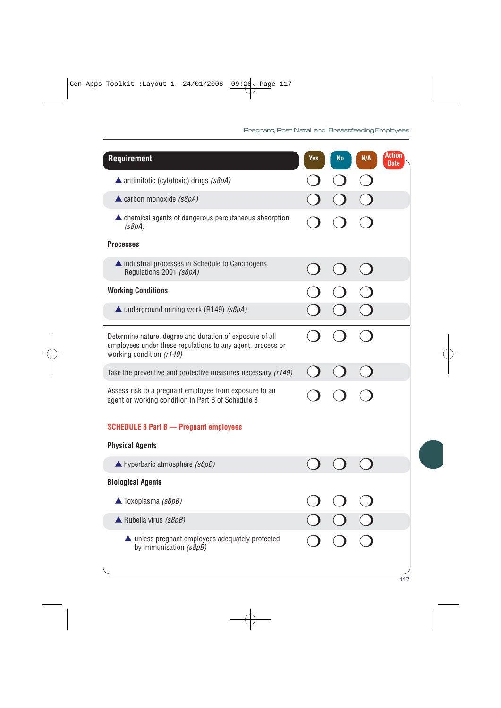| <b>Requirement</b>                                                                                                                                 | Yes | N <sub>0</sub> | N/A | <b>Action</b><br>Date |
|----------------------------------------------------------------------------------------------------------------------------------------------------|-----|----------------|-----|-----------------------|
| $\triangle$ antimitotic (cytotoxic) drugs (s8pA)                                                                                                   |     |                |     |                       |
| $\triangle$ carbon monoxide (s8pA)                                                                                                                 |     |                |     |                       |
| ▲ chemical agents of dangerous percutaneous absorption<br>(s8pA)                                                                                   |     |                |     |                       |
| <b>Processes</b>                                                                                                                                   |     |                |     |                       |
| ▲ industrial processes in Schedule to Carcinogens<br>Regulations 2001 (s8pA)                                                                       |     |                |     |                       |
| <b>Working Conditions</b>                                                                                                                          |     |                |     |                       |
| ▲ underground mining work (R149) (s8pA)                                                                                                            |     |                |     |                       |
| Determine nature, degree and duration of exposure of all<br>employees under these regulations to any agent, process or<br>working condition (r149) |     |                |     |                       |
| Take the preventive and protective measures necessary (r149)                                                                                       |     |                |     |                       |
| Assess risk to a pregnant employee from exposure to an<br>agent or working condition in Part B of Schedule 8                                       |     |                |     |                       |
| <b>SCHEDULE 8 Part B - Pregnant employees</b>                                                                                                      |     |                |     |                       |
| <b>Physical Agents</b>                                                                                                                             |     |                |     |                       |
| A hyperbaric atmosphere $(s8pB)$                                                                                                                   |     |                |     |                       |
| <b>Biological Agents</b>                                                                                                                           |     |                |     |                       |
| ▲ Toxoplasma (s8pB)                                                                                                                                |     |                |     |                       |
| $\triangle$ Rubella virus (s8pB)                                                                                                                   |     |                |     |                       |
| $\blacktriangle$ unless pregnant employees adequately protected<br>by immunisation (s8pB)                                                          |     |                |     |                       |